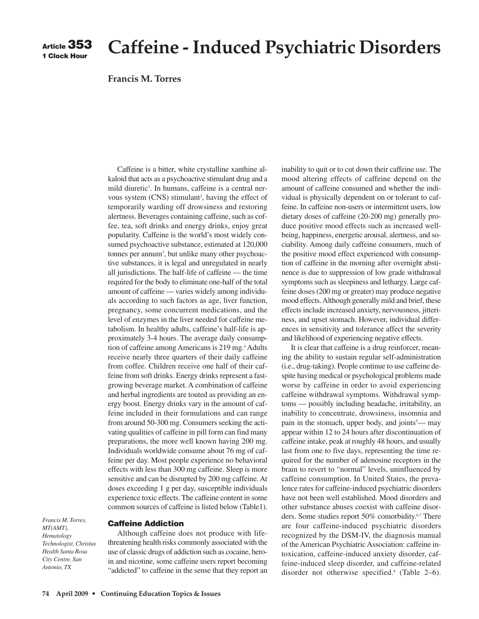# **Caffeine - Induced Psychiatric Disorders**

## **Francis M. Torres**

Caffeine is a bitter, white crystalline xanthine alkaloid that acts as a psychoactive stimulant drug and a mild diuretic<sup>1</sup>. In humans, caffeine is a central nervous system (CNS) stimulant<sup>2</sup>, having the effect of temporarily warding off drowsiness and restoring alertness. Beverages containing caffeine, such as coffee, tea, soft drinks and energy drinks, enjoy great popularity. Caffeine is the world's most widely consumed psychoactive substance, estimated at 120,000 tonnes per annum<sup>3</sup>, but unlike many other psychoactive substances, it is legal and unregulated in nearly all jurisdictions. The half-life of caffeine — the time required for the body to eliminate one-half of the total amount of caffeine — varies widely among individuals according to such factors as age, liver function, pregnancy, some concurrent medications, and the level of enzymes in the liver needed for caffeine metabolism. In healthy adults, caffeine's half-life is approximately 3-4 hours. The average daily consumption of caffeine among Americans is 219 mg.<sup>4</sup> Adults receive nearly three quarters of their daily caffeine from coffee. Children receive one half of their caffeine from soft drinks. Energy drinks represent a fastgrowing beverage market. A combination of caffeine and herbal ingredients are touted as providing an energy boost. Energy drinks vary in the amount of caffeine included in their formulations and can range from around 50-300 mg. Consumers seeking the activating qualities of caffeine in pill form can find many preparations, the more well known having 200 mg. Individuals worldwide consume about 76 mg of caffeine per day. Most people experience no behavioral effects with less than 300 mg caffeine. Sleep is more sensitive and can be disrupted by 200 mg caffeine. At doses exceeding 1 g per day, susceptible individuals experience toxic effects. The caffeine content in some common sources of caffeine is listed below (Table1).

*Francis M. Torres, MT(AMT), Hematology Technologist, Christus Health Santa Rosa City Centre, San Antonio, TX*

Although caffeine does not produce with lifethreatening health risks commonly associated with the use of classic drugs of addiction such as cocaine, heroin and nicotine, some caffeine users report becoming "addicted" to caffeine in the sense that they report an inability to quit or to cut down their caffeine use. The mood altering effects of caffeine depend on the amount of caffeine consumed and whether the individual is physically dependent on or tolerant to caffeine. In caffeine non-users or intermittent users, low dietary doses of caffeine (20-200 mg) generally produce positive mood effects such as increased wellbeing, happiness, energetic arousal, alertness, and sociability. Among daily caffeine consumers, much of the positive mood effect experienced with consumption of caffeine in the morning after overnight abstinence is due to suppression of low grade withdrawal symptoms such as sleepiness and lethargy. Large caffeine doses (200 mg or greater) may produce negative mood effects. Although generally mild and brief, these effects include increased anxiety, nervousness, jitteriness, and upset stomach. However, individual differences in sensitivity and tolerance affect the severity and likelihood of experiencing negative effects.

It is clear that caffeine is a drug reinforcer, meaning the ability to sustain regular self-administration (i.e., drug-taking). People continue to use caffeine despite having medical or psychological problems made worse by caffeine in order to avoid experiencing caffeine withdrawal symptoms. Withdrawal symptoms — possibly including headache, irritability, an inability to concentrate, drowsiness, insomnia and pain in the stomach, upper body, and joints<sup>5</sup>— may appear within 12 to 24 hours after discontinuation of caffeine intake, peak at roughly 48 hours, and usually last from one to five days, representing the time required for the number of adenosine receptors in the brain to revert to "normal" levels, uninfluenced by caffeine consumption. In United States, the prevalence rates for caffeine-induced psychiatric disorders have not been well established. Mood disorders and other substance abuses coexist with caffeine disorders. Some studies report 50% comorbidity.6,7 There are four caffeine-induced psychiatric disorders recognized by the DSM-IV, the diagnosis manual of the American Psychiatric Association: caffeine intoxication, caffeine-induced anxiety disorder, caffeine-induced sleep disorder, and caffeine-related disorder not otherwise specified.<sup>8</sup> (Table 2–6).

**Caffeine Addiction**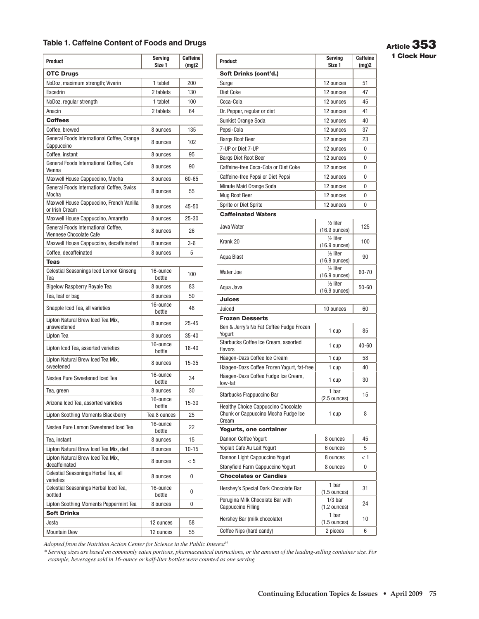# **Table 1. Caffeine Content of Foods and Drugs**

| <b>OTC Drugs</b><br>NoDoz, maximum strength; Vivarin<br>1 tablet<br>200<br>130<br>Excedrin<br>2 tablets<br>1 tablet<br>100<br>NoDoz, regular strength<br>Anacin<br>2 tablets<br>64<br><b>Coffees</b><br>Coffee, brewed<br>135<br>8 ounces<br>General Foods International Coffee, Orange<br>102<br>8 ounces<br>Cappuccino<br>Coffee, instant<br>95<br>8 ounces<br>General Foods International Coffee, Cafe<br>8 ounces<br>90<br>Vienna<br>60-65<br>Maxwell House Cappuccino, Mocha<br>8 ounces<br>General Foods International Coffee, Swiss<br>55<br>8 ounces<br>Mocha<br>Maxwell House Cappuccino, French Vanilla<br>8 ounces<br>$45 - 50$<br>or Irish Cream<br>Maxwell House Cappuccino, Amaretto<br>$25 - 30$<br>8 ounces<br>General Foods International Coffee.<br>8 ounces<br>26<br>Viennese Chocolate Cafe<br>Maxwell House Cappuccino, decaffeinated<br>$3-6$<br>8 ounces<br>Coffee, decaffeinated<br>5<br>8 ounces<br><b>Teas</b><br>Celestial Seasonings Iced Lemon Ginseng<br>16-ounce<br>100<br>Tea<br>bottle<br><b>Bigelow Raspberry Royale Tea</b><br>83<br>8 ounces<br>Tea, leaf or bag<br>50<br>8 ounces<br>16-ounce<br>Snapple Iced Tea, all varieties<br>48<br>bottle<br>Lipton Natural Brew Iced Tea Mix,<br>8 ounces<br>25-45<br>unsweetened<br>Lipton Tea<br>$35 - 40$<br>8 ounces<br>16-ounce<br>Lipton Iced Tea, assorted varieties<br>18-40<br>bottle<br>Lipton Natural Brew Iced Tea Mix,<br>15-35<br>8 ounces<br>sweetened<br>16-ounce<br>Nestea Pure Sweetened Iced Tea<br>34<br>bottle<br>8 ounces<br>30<br>Tea, green<br>16-ounce<br>Arizona Iced Tea, assorted varieties<br>$15 - 30$<br>bottle<br><b>Lipton Soothing Moments Blackberry</b><br>Tea 8 ounces<br>25<br>16-ounce<br>Nestea Pure Lemon Sweetened Iced Tea<br>22<br>bottle<br>15<br>Tea, instant<br>8 ounces<br>Lipton Natural Brew Iced Tea Mix, diet<br>$10 - 15$<br>8 ounces<br>Lipton Natural Brew Iced Tea Mix,<br>< 5<br>8 ounces<br>decaffeinated<br>Celestial Seasonings Herbal Tea, all<br>8 ounces<br>0<br>varieties<br>Celestial Seasonings Herbal Iced Tea,<br>16-ounce<br>0<br>bottled<br>bottle<br>Lipton Soothing Moments Peppermint Tea<br>8 ounces<br>0<br><b>Soft Drinks</b><br>Josta<br>12 ounces<br>58<br><b>Mountain Dew</b><br>55<br>12 ounces | <b>Product</b> | Serving<br>Size 1 | <b>Caffeine</b><br>(mg)2 |  |
|--------------------------------------------------------------------------------------------------------------------------------------------------------------------------------------------------------------------------------------------------------------------------------------------------------------------------------------------------------------------------------------------------------------------------------------------------------------------------------------------------------------------------------------------------------------------------------------------------------------------------------------------------------------------------------------------------------------------------------------------------------------------------------------------------------------------------------------------------------------------------------------------------------------------------------------------------------------------------------------------------------------------------------------------------------------------------------------------------------------------------------------------------------------------------------------------------------------------------------------------------------------------------------------------------------------------------------------------------------------------------------------------------------------------------------------------------------------------------------------------------------------------------------------------------------------------------------------------------------------------------------------------------------------------------------------------------------------------------------------------------------------------------------------------------------------------------------------------------------------------------------------------------------------------------------------------------------------------------------------------------------------------------------------------------------------------------------------------------------------------------------------------------------------------------------------------------------------------------------------------------------------|----------------|-------------------|--------------------------|--|
|                                                                                                                                                                                                                                                                                                                                                                                                                                                                                                                                                                                                                                                                                                                                                                                                                                                                                                                                                                                                                                                                                                                                                                                                                                                                                                                                                                                                                                                                                                                                                                                                                                                                                                                                                                                                                                                                                                                                                                                                                                                                                                                                                                                                                                                              |                |                   |                          |  |
|                                                                                                                                                                                                                                                                                                                                                                                                                                                                                                                                                                                                                                                                                                                                                                                                                                                                                                                                                                                                                                                                                                                                                                                                                                                                                                                                                                                                                                                                                                                                                                                                                                                                                                                                                                                                                                                                                                                                                                                                                                                                                                                                                                                                                                                              |                |                   |                          |  |
|                                                                                                                                                                                                                                                                                                                                                                                                                                                                                                                                                                                                                                                                                                                                                                                                                                                                                                                                                                                                                                                                                                                                                                                                                                                                                                                                                                                                                                                                                                                                                                                                                                                                                                                                                                                                                                                                                                                                                                                                                                                                                                                                                                                                                                                              |                |                   |                          |  |
|                                                                                                                                                                                                                                                                                                                                                                                                                                                                                                                                                                                                                                                                                                                                                                                                                                                                                                                                                                                                                                                                                                                                                                                                                                                                                                                                                                                                                                                                                                                                                                                                                                                                                                                                                                                                                                                                                                                                                                                                                                                                                                                                                                                                                                                              |                |                   |                          |  |
|                                                                                                                                                                                                                                                                                                                                                                                                                                                                                                                                                                                                                                                                                                                                                                                                                                                                                                                                                                                                                                                                                                                                                                                                                                                                                                                                                                                                                                                                                                                                                                                                                                                                                                                                                                                                                                                                                                                                                                                                                                                                                                                                                                                                                                                              |                |                   |                          |  |
|                                                                                                                                                                                                                                                                                                                                                                                                                                                                                                                                                                                                                                                                                                                                                                                                                                                                                                                                                                                                                                                                                                                                                                                                                                                                                                                                                                                                                                                                                                                                                                                                                                                                                                                                                                                                                                                                                                                                                                                                                                                                                                                                                                                                                                                              |                |                   |                          |  |
|                                                                                                                                                                                                                                                                                                                                                                                                                                                                                                                                                                                                                                                                                                                                                                                                                                                                                                                                                                                                                                                                                                                                                                                                                                                                                                                                                                                                                                                                                                                                                                                                                                                                                                                                                                                                                                                                                                                                                                                                                                                                                                                                                                                                                                                              |                |                   |                          |  |
|                                                                                                                                                                                                                                                                                                                                                                                                                                                                                                                                                                                                                                                                                                                                                                                                                                                                                                                                                                                                                                                                                                                                                                                                                                                                                                                                                                                                                                                                                                                                                                                                                                                                                                                                                                                                                                                                                                                                                                                                                                                                                                                                                                                                                                                              |                |                   |                          |  |
|                                                                                                                                                                                                                                                                                                                                                                                                                                                                                                                                                                                                                                                                                                                                                                                                                                                                                                                                                                                                                                                                                                                                                                                                                                                                                                                                                                                                                                                                                                                                                                                                                                                                                                                                                                                                                                                                                                                                                                                                                                                                                                                                                                                                                                                              |                |                   |                          |  |
|                                                                                                                                                                                                                                                                                                                                                                                                                                                                                                                                                                                                                                                                                                                                                                                                                                                                                                                                                                                                                                                                                                                                                                                                                                                                                                                                                                                                                                                                                                                                                                                                                                                                                                                                                                                                                                                                                                                                                                                                                                                                                                                                                                                                                                                              |                |                   |                          |  |
|                                                                                                                                                                                                                                                                                                                                                                                                                                                                                                                                                                                                                                                                                                                                                                                                                                                                                                                                                                                                                                                                                                                                                                                                                                                                                                                                                                                                                                                                                                                                                                                                                                                                                                                                                                                                                                                                                                                                                                                                                                                                                                                                                                                                                                                              |                |                   |                          |  |
|                                                                                                                                                                                                                                                                                                                                                                                                                                                                                                                                                                                                                                                                                                                                                                                                                                                                                                                                                                                                                                                                                                                                                                                                                                                                                                                                                                                                                                                                                                                                                                                                                                                                                                                                                                                                                                                                                                                                                                                                                                                                                                                                                                                                                                                              |                |                   |                          |  |
|                                                                                                                                                                                                                                                                                                                                                                                                                                                                                                                                                                                                                                                                                                                                                                                                                                                                                                                                                                                                                                                                                                                                                                                                                                                                                                                                                                                                                                                                                                                                                                                                                                                                                                                                                                                                                                                                                                                                                                                                                                                                                                                                                                                                                                                              |                |                   |                          |  |
|                                                                                                                                                                                                                                                                                                                                                                                                                                                                                                                                                                                                                                                                                                                                                                                                                                                                                                                                                                                                                                                                                                                                                                                                                                                                                                                                                                                                                                                                                                                                                                                                                                                                                                                                                                                                                                                                                                                                                                                                                                                                                                                                                                                                                                                              |                |                   |                          |  |
|                                                                                                                                                                                                                                                                                                                                                                                                                                                                                                                                                                                                                                                                                                                                                                                                                                                                                                                                                                                                                                                                                                                                                                                                                                                                                                                                                                                                                                                                                                                                                                                                                                                                                                                                                                                                                                                                                                                                                                                                                                                                                                                                                                                                                                                              |                |                   |                          |  |
|                                                                                                                                                                                                                                                                                                                                                                                                                                                                                                                                                                                                                                                                                                                                                                                                                                                                                                                                                                                                                                                                                                                                                                                                                                                                                                                                                                                                                                                                                                                                                                                                                                                                                                                                                                                                                                                                                                                                                                                                                                                                                                                                                                                                                                                              |                |                   |                          |  |
|                                                                                                                                                                                                                                                                                                                                                                                                                                                                                                                                                                                                                                                                                                                                                                                                                                                                                                                                                                                                                                                                                                                                                                                                                                                                                                                                                                                                                                                                                                                                                                                                                                                                                                                                                                                                                                                                                                                                                                                                                                                                                                                                                                                                                                                              |                |                   |                          |  |
|                                                                                                                                                                                                                                                                                                                                                                                                                                                                                                                                                                                                                                                                                                                                                                                                                                                                                                                                                                                                                                                                                                                                                                                                                                                                                                                                                                                                                                                                                                                                                                                                                                                                                                                                                                                                                                                                                                                                                                                                                                                                                                                                                                                                                                                              |                |                   |                          |  |
|                                                                                                                                                                                                                                                                                                                                                                                                                                                                                                                                                                                                                                                                                                                                                                                                                                                                                                                                                                                                                                                                                                                                                                                                                                                                                                                                                                                                                                                                                                                                                                                                                                                                                                                                                                                                                                                                                                                                                                                                                                                                                                                                                                                                                                                              |                |                   |                          |  |
|                                                                                                                                                                                                                                                                                                                                                                                                                                                                                                                                                                                                                                                                                                                                                                                                                                                                                                                                                                                                                                                                                                                                                                                                                                                                                                                                                                                                                                                                                                                                                                                                                                                                                                                                                                                                                                                                                                                                                                                                                                                                                                                                                                                                                                                              |                |                   |                          |  |
|                                                                                                                                                                                                                                                                                                                                                                                                                                                                                                                                                                                                                                                                                                                                                                                                                                                                                                                                                                                                                                                                                                                                                                                                                                                                                                                                                                                                                                                                                                                                                                                                                                                                                                                                                                                                                                                                                                                                                                                                                                                                                                                                                                                                                                                              |                |                   |                          |  |
|                                                                                                                                                                                                                                                                                                                                                                                                                                                                                                                                                                                                                                                                                                                                                                                                                                                                                                                                                                                                                                                                                                                                                                                                                                                                                                                                                                                                                                                                                                                                                                                                                                                                                                                                                                                                                                                                                                                                                                                                                                                                                                                                                                                                                                                              |                |                   |                          |  |
|                                                                                                                                                                                                                                                                                                                                                                                                                                                                                                                                                                                                                                                                                                                                                                                                                                                                                                                                                                                                                                                                                                                                                                                                                                                                                                                                                                                                                                                                                                                                                                                                                                                                                                                                                                                                                                                                                                                                                                                                                                                                                                                                                                                                                                                              |                |                   |                          |  |
|                                                                                                                                                                                                                                                                                                                                                                                                                                                                                                                                                                                                                                                                                                                                                                                                                                                                                                                                                                                                                                                                                                                                                                                                                                                                                                                                                                                                                                                                                                                                                                                                                                                                                                                                                                                                                                                                                                                                                                                                                                                                                                                                                                                                                                                              |                |                   |                          |  |
|                                                                                                                                                                                                                                                                                                                                                                                                                                                                                                                                                                                                                                                                                                                                                                                                                                                                                                                                                                                                                                                                                                                                                                                                                                                                                                                                                                                                                                                                                                                                                                                                                                                                                                                                                                                                                                                                                                                                                                                                                                                                                                                                                                                                                                                              |                |                   |                          |  |
|                                                                                                                                                                                                                                                                                                                                                                                                                                                                                                                                                                                                                                                                                                                                                                                                                                                                                                                                                                                                                                                                                                                                                                                                                                                                                                                                                                                                                                                                                                                                                                                                                                                                                                                                                                                                                                                                                                                                                                                                                                                                                                                                                                                                                                                              |                |                   |                          |  |
|                                                                                                                                                                                                                                                                                                                                                                                                                                                                                                                                                                                                                                                                                                                                                                                                                                                                                                                                                                                                                                                                                                                                                                                                                                                                                                                                                                                                                                                                                                                                                                                                                                                                                                                                                                                                                                                                                                                                                                                                                                                                                                                                                                                                                                                              |                |                   |                          |  |
|                                                                                                                                                                                                                                                                                                                                                                                                                                                                                                                                                                                                                                                                                                                                                                                                                                                                                                                                                                                                                                                                                                                                                                                                                                                                                                                                                                                                                                                                                                                                                                                                                                                                                                                                                                                                                                                                                                                                                                                                                                                                                                                                                                                                                                                              |                |                   |                          |  |
|                                                                                                                                                                                                                                                                                                                                                                                                                                                                                                                                                                                                                                                                                                                                                                                                                                                                                                                                                                                                                                                                                                                                                                                                                                                                                                                                                                                                                                                                                                                                                                                                                                                                                                                                                                                                                                                                                                                                                                                                                                                                                                                                                                                                                                                              |                |                   |                          |  |
|                                                                                                                                                                                                                                                                                                                                                                                                                                                                                                                                                                                                                                                                                                                                                                                                                                                                                                                                                                                                                                                                                                                                                                                                                                                                                                                                                                                                                                                                                                                                                                                                                                                                                                                                                                                                                                                                                                                                                                                                                                                                                                                                                                                                                                                              |                |                   |                          |  |
|                                                                                                                                                                                                                                                                                                                                                                                                                                                                                                                                                                                                                                                                                                                                                                                                                                                                                                                                                                                                                                                                                                                                                                                                                                                                                                                                                                                                                                                                                                                                                                                                                                                                                                                                                                                                                                                                                                                                                                                                                                                                                                                                                                                                                                                              |                |                   |                          |  |
|                                                                                                                                                                                                                                                                                                                                                                                                                                                                                                                                                                                                                                                                                                                                                                                                                                                                                                                                                                                                                                                                                                                                                                                                                                                                                                                                                                                                                                                                                                                                                                                                                                                                                                                                                                                                                                                                                                                                                                                                                                                                                                                                                                                                                                                              |                |                   |                          |  |
|                                                                                                                                                                                                                                                                                                                                                                                                                                                                                                                                                                                                                                                                                                                                                                                                                                                                                                                                                                                                                                                                                                                                                                                                                                                                                                                                                                                                                                                                                                                                                                                                                                                                                                                                                                                                                                                                                                                                                                                                                                                                                                                                                                                                                                                              |                |                   |                          |  |
|                                                                                                                                                                                                                                                                                                                                                                                                                                                                                                                                                                                                                                                                                                                                                                                                                                                                                                                                                                                                                                                                                                                                                                                                                                                                                                                                                                                                                                                                                                                                                                                                                                                                                                                                                                                                                                                                                                                                                                                                                                                                                                                                                                                                                                                              |                |                   |                          |  |
|                                                                                                                                                                                                                                                                                                                                                                                                                                                                                                                                                                                                                                                                                                                                                                                                                                                                                                                                                                                                                                                                                                                                                                                                                                                                                                                                                                                                                                                                                                                                                                                                                                                                                                                                                                                                                                                                                                                                                                                                                                                                                                                                                                                                                                                              |                |                   |                          |  |
|                                                                                                                                                                                                                                                                                                                                                                                                                                                                                                                                                                                                                                                                                                                                                                                                                                                                                                                                                                                                                                                                                                                                                                                                                                                                                                                                                                                                                                                                                                                                                                                                                                                                                                                                                                                                                                                                                                                                                                                                                                                                                                                                                                                                                                                              |                |                   |                          |  |
|                                                                                                                                                                                                                                                                                                                                                                                                                                                                                                                                                                                                                                                                                                                                                                                                                                                                                                                                                                                                                                                                                                                                                                                                                                                                                                                                                                                                                                                                                                                                                                                                                                                                                                                                                                                                                                                                                                                                                                                                                                                                                                                                                                                                                                                              |                |                   |                          |  |
|                                                                                                                                                                                                                                                                                                                                                                                                                                                                                                                                                                                                                                                                                                                                                                                                                                                                                                                                                                                                                                                                                                                                                                                                                                                                                                                                                                                                                                                                                                                                                                                                                                                                                                                                                                                                                                                                                                                                                                                                                                                                                                                                                                                                                                                              |                |                   |                          |  |
|                                                                                                                                                                                                                                                                                                                                                                                                                                                                                                                                                                                                                                                                                                                                                                                                                                                                                                                                                                                                                                                                                                                                                                                                                                                                                                                                                                                                                                                                                                                                                                                                                                                                                                                                                                                                                                                                                                                                                                                                                                                                                                                                                                                                                                                              |                |                   |                          |  |
|                                                                                                                                                                                                                                                                                                                                                                                                                                                                                                                                                                                                                                                                                                                                                                                                                                                                                                                                                                                                                                                                                                                                                                                                                                                                                                                                                                                                                                                                                                                                                                                                                                                                                                                                                                                                                                                                                                                                                                                                                                                                                                                                                                                                                                                              |                |                   |                          |  |

| affeine<br>(mg)2 | <b>Product</b>                                                             | <b>Serving</b><br>Size 1                         | Caffeine<br>(mg)2 |
|------------------|----------------------------------------------------------------------------|--------------------------------------------------|-------------------|
|                  | Soft Drinks (cont'd.)                                                      |                                                  |                   |
| 200              | Surge                                                                      | 12 ounces                                        | 51                |
| 130              | Diet Coke                                                                  | 12 ounces                                        | 47                |
| 100              | Coca-Cola                                                                  | 12 ounces                                        | 45                |
| 64               | Dr. Pepper, regular or diet                                                | 12 ounces                                        | 41                |
|                  | Sunkist Orange Soda                                                        | 12 ounces                                        | 40                |
| 135              | Pepsi-Cola                                                                 | 12 ounces                                        | 37                |
| 102              | <b>Bargs Root Beer</b>                                                     | 12 ounces                                        | 23                |
|                  | 7-UP or Diet 7-UP                                                          | 12 ounces                                        | 0                 |
| 95               | <b>Bargs Diet Root Beer</b>                                                | 12 ounces                                        | 0                 |
| 90               | Caffeine-free Coca-Cola or Diet Coke                                       | 12 ounces                                        | 0                 |
| 60-65            | Caffeine-free Pepsi or Diet Pepsi                                          | 12 ounces                                        | 0                 |
| 55               | Minute Maid Orange Soda                                                    | 12 ounces                                        | 0                 |
|                  | Mug Root Beer                                                              | 12 ounces                                        | 0                 |
| 45-50            | Sprite or Diet Sprite                                                      | 12 ounces                                        | 0                 |
| 25-30            | <b>Caffeinated Waters</b>                                                  |                                                  |                   |
|                  | Java Water                                                                 | 1/ <sub>2</sub> liter                            | 125               |
| 26               |                                                                            | $(16.9 \text{ ounces})$<br>$1/2$ liter           |                   |
| $3-6$            | Krank 20                                                                   | $(16.9$ ounces)                                  | 100               |
| 5                | Aqua Blast                                                                 | $1/2$ liter                                      | 90                |
|                  |                                                                            | $(16.9 \text{ ounces})$                          |                   |
| 100              | Water Joe                                                                  | 1/ <sub>2</sub> liter<br>$(16.9 \text{ ounces})$ | 60-70             |
| 83               | Aqua Java                                                                  | $\frac{1}{2}$ liter<br>$(16.9 \text{ ounces})$   | 50-60             |
| 50               | <b>Juices</b>                                                              |                                                  |                   |
| 48               | Juiced                                                                     | 10 ounces                                        | 60                |
|                  | <b>Frozen Desserts</b>                                                     |                                                  |                   |
| 25-45<br>35-40   | Ben & Jerry's No Fat Coffee Fudge Frozen<br>Yogurt                         | 1 cup                                            | 85                |
| 18-40            | Starbucks Coffee Ice Cream, assorted<br>flavors                            | 1 cup                                            | 40-60             |
|                  | Häagen-Dazs Coffee Ice Cream                                               | 1 cup                                            | 58                |
| 15-35            | Häagen-Dazs Coffee Frozen Yogurt, fat-free                                 | 1 cup                                            | 40                |
| 34               | Häagen-Dazs Coffee Fudge Ice Cream,<br>low-fat                             | 1 cup                                            | 30                |
| 30               | Starbucks Frappuccino Bar                                                  | 1 bar<br>$(2.5 \text{ ounces})$                  | 15                |
| 15-30<br>25      | Healthy Choice Cappuccino Chocolate<br>Chunk or Cappuccino Mocha Fudge Ice | 1 cup                                            | 8                 |
|                  | Cream                                                                      |                                                  |                   |
| 22               | Yogurts, one container                                                     |                                                  |                   |
| 15               | Dannon Coffee Yogurt                                                       | 8 ounces                                         | 45                |
| 10-15            | Yoplait Cafe Au Lait Yogurt                                                | 6 ounces                                         | 5                 |
| < 5              | Dannon Light Cappuccino Yogurt                                             | 8 ounces                                         | < 1               |
|                  | Stonyfield Farm Cappuccino Yogurt                                          | 8 ounces                                         | 0                 |
| 0                | <b>Chocolates or Candies</b>                                               |                                                  |                   |
| 0                | Hershey's Special Dark Chocolate Bar                                       | 1 bar<br>$(1.5 \text{ ounces})$                  | 31                |
| 0                | Perugina Milk Chocolate Bar with<br><b>Cappuccino Filling</b>              | $1/3$ bar<br>$(1.2 \text{ ounces})$              | 24                |
| 58               | Hershey Bar (milk chocolate)                                               | 1 bar<br>$(1.5 \text{ ounces})$                  | 10                |
| 55               | Coffee Nips (hard candy)                                                   | 2 pieces                                         | 6                 |

**Article 353 1 Clock Hour**

*Adopted from the Nutrition Action Center for Science in the Public Interest<sup>14</sup>* 

*\* Serving sizes are based on commonly eaten portions, pharmaceutical instructions, or the amount of the leading-selling container size. For example, beverages sold in 16-ounce or half-liter bottles were counted as one serving*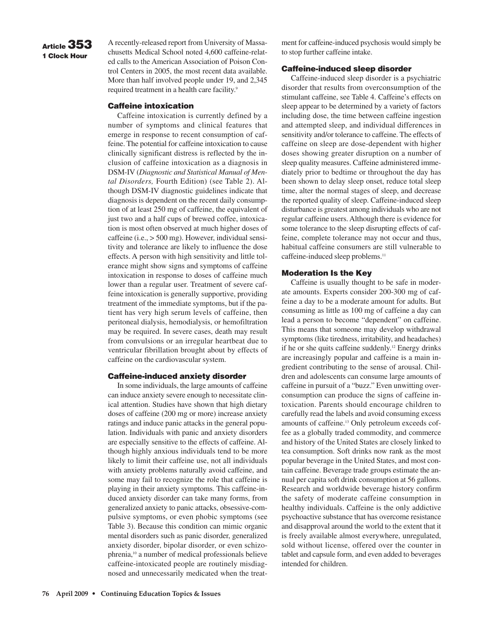# **Article 353 1 Clock Hour**

A recently-released report from University of Massachusetts Medical School noted 4,600 caffeine-related calls to the American Association of Poison Control Centers in 2005, the most recent data available. More than half involved people under 19, and 2,345 required treatment in a health care facility.<sup>9</sup>

#### **Caffeine intoxication**

Caffeine intoxication is currently defined by a number of symptoms and clinical features that emerge in response to recent consumption of caffeine. The potential for caffeine intoxication to cause clinically significant distress is reflected by the inclusion of caffeine intoxication as a diagnosis in DSM-IV (*Diagnostic and Statistical Manual of Mental Disorders,* Fourth Edition) (see Table 2). Although DSM-IV diagnostic guidelines indicate that diagnosis is dependent on the recent daily consumption of at least 250 mg of caffeine, the equivalent of just two and a half cups of brewed coffee, intoxication is most often observed at much higher doses of caffeine (i.e., > 500 mg). However, individual sensitivity and tolerance are likely to influence the dose effects. A person with high sensitivity and little tolerance might show signs and symptoms of caffeine intoxication in response to doses of caffeine much lower than a regular user. Treatment of severe caffeine intoxication is generally supportive, providing treatment of the immediate symptoms, but if the patient has very high serum levels of caffeine, then peritoneal dialysis, hemodialysis, or hemofiltration may be required. In severe cases, death may result from convulsions or an irregular heartbeat due to ventricular fibrillation brought about by effects of caffeine on the cardiovascular system.

#### **Caffeine-induced anxiety disorder**

In some individuals, the large amounts of caffeine can induce anxiety severe enough to necessitate clinical attention. Studies have shown that high dietary doses of caffeine (200 mg or more) increase anxiety ratings and induce panic attacks in the general population. Individuals with panic and anxiety disorders are especially sensitive to the effects of caffeine. Although highly anxious individuals tend to be more likely to limit their caffeine use, not all individuals with anxiety problems naturally avoid caffeine, and some may fail to recognize the role that caffeine is playing in their anxiety symptoms. This caffeine-induced anxiety disorder can take many forms, from generalized anxiety to panic attacks, obsessive-compulsive symptoms, or even phobic symptoms (see Table 3). Because this condition can mimic organic mental disorders such as panic disorder, generalized anxiety disorder, bipolar disorder, or even schizophrenia,10 a number of medical professionals believe caffeine-intoxicated people are routinely misdiagnosed and unnecessarily medicated when the treatment for caffeine-induced psychosis would simply be to stop further caffeine intake.

#### **Caffeine-induced sleep disorder**

Caffeine-induced sleep disorder is a psychiatric disorder that results from overconsumption of the stimulant caffeine, see Table 4. Caffeine's effects on sleep appear to be determined by a variety of factors including dose, the time between caffeine ingestion and attempted sleep, and individual differences in sensitivity and/or tolerance to caffeine. The effects of caffeine on sleep are dose-dependent with higher doses showing greater disruption on a number of sleep quality measures. Caffeine administered immediately prior to bedtime or throughout the day has been shown to delay sleep onset, reduce total sleep time, alter the normal stages of sleep, and decrease the reported quality of sleep. Caffeine-induced sleep disturbance is greatest among individuals who are not regular caffeine users. Although there is evidence for some tolerance to the sleep disrupting effects of caffeine, complete tolerance may not occur and thus, habitual caffeine consumers are still vulnerable to caffeine-induced sleep problems.<sup>11</sup>

#### **Moderation Is the Key**

Caffeine is usually thought to be safe in moderate amounts. Experts consider 200-300 mg of caffeine a day to be a moderate amount for adults. But consuming as little as 100 mg of caffeine a day can lead a person to become "dependent" on caffeine. This means that someone may develop withdrawal symptoms (like tiredness, irritability, and headaches) if he or she quits caffeine suddenly.<sup>12</sup> Energy drinks are increasingly popular and caffeine is a main ingredient contributing to the sense of arousal. Children and adolescents can consume large amounts of caffeine in pursuit of a "buzz." Even unwitting overconsumption can produce the signs of caffeine intoxication. Parents should encourage children to carefully read the labels and avoid consuming excess amounts of caffeine.<sup>13</sup> Only petroleum exceeds coffee as a globally traded commodity, and commerce and history of the United States are closely linked to tea consumption. Soft drinks now rank as the most popular beverage in the United States, and most contain caffeine. Beverage trade groups estimate the annual per capita soft drink consumption at 56 gallons. Research and worldwide beverage history confirm the safety of moderate caffeine consumption in healthy individuals. Caffeine is the only addictive psychoactive substance that has overcome resistance and disapproval around the world to the extent that it is freely available almost everywhere, unregulated, sold without license, offered over the counter in tablet and capsule form, and even added to beverages intended for children.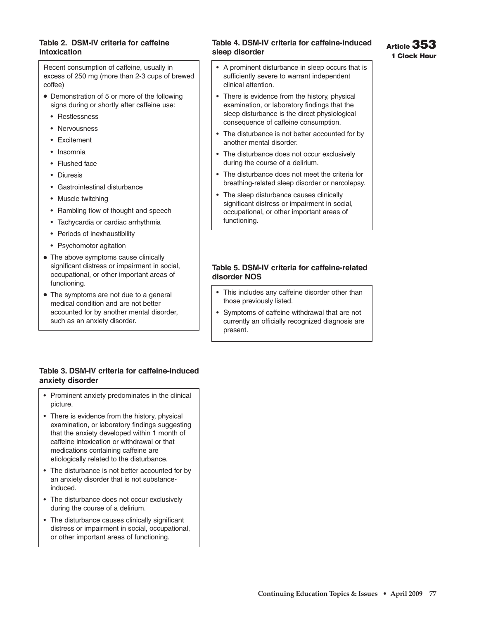## **Table 2. DSM-IV criteria for caffeine intoxication**

Recent consumption of caffeine, usually in excess of 250 mg (more than 2-3 cups of brewed coffee)

- Demonstration of 5 or more of the following signs during or shortly after caffeine use:
	- Restlessness
	- Nervousness
	- Excitement
	- Insomnia
	- Flushed face
	- Diuresis
	- Gastrointestinal disturbance
	- Muscle twitching
	- Rambling flow of thought and speech
	- Tachycardia or cardiac arrhythmia
	- Periods of inexhaustibility
	- Psychomotor agitation
- The above symptoms cause clinically significant distress or impairment in social, occupational, or other important areas of functioning.
- The symptoms are not due to a general medical condition and are not better accounted for by another mental disorder, such as an anxiety disorder.

# **Table 4. DSM-IV criteria for caffeine-induced sleep disorder**

- A prominent disturbance in sleep occurs that is sufficiently severe to warrant independent clinical attention.
- There is evidence from the history, physical examination, or laboratory findings that the sleep disturbance is the direct physiological consequence of caffeine consumption.
- The disturbance is not better accounted for by another mental disorder.
- The disturbance does not occur exclusively during the course of a delirium.
- The disturbance does not meet the criteria for breathing-related sleep disorder or narcolepsy.
- The sleep disturbance causes clinically significant distress or impairment in social, occupational, or other important areas of functioning.

## **Table 5. DSM-IV criteria for caffeine-related disorder NOS**

- This includes any caffeine disorder other than those previously listed.
- Symptoms of caffeine withdrawal that are not currently an officially recognized diagnosis are present.

## **Table 3. DSM-IV criteria for caffeine-induced anxiety disorder**

- Prominent anxiety predominates in the clinical picture.
- There is evidence from the history, physical examination, or laboratory findings suggesting that the anxiety developed within 1 month of caffeine intoxication or withdrawal or that medications containing caffeine are etiologically related to the disturbance.
- The disturbance is not better accounted for by an anxiety disorder that is not substanceinduced.
- The disturbance does not occur exclusively during the course of a delirium.
- The disturbance causes clinically significant distress or impairment in social, occupational, or other important areas of functioning.